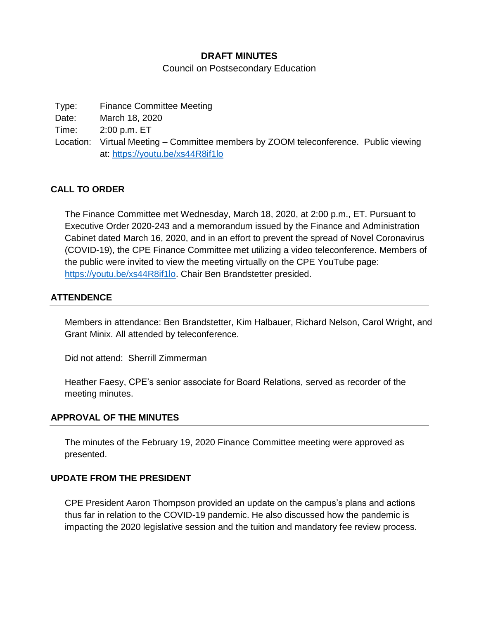## **DRAFT MINUTES**

Council on Postsecondary Education

Type: Finance Committee Meeting Date: March 18, 2020 Time: 2:00 p.m. ET Location: Virtual Meeting – Committee members by ZOOM teleconference. Public viewing at:<https://youtu.be/xs44R8if1lo>

## **CALL TO ORDER**

The Finance Committee met Wednesday, March 18, 2020, at 2:00 p.m., ET. Pursuant to Executive Order 2020-243 and a memorandum issued by the Finance and Administration Cabinet dated March 16, 2020, and in an effort to prevent the spread of Novel Coronavirus (COVID-19), the CPE Finance Committee met utilizing a video teleconference. Members of the public were invited to view the meeting virtually on the CPE YouTube page: [https://youtu.be/xs44R8if1lo.](https://youtu.be/xs44R8if1lo) Chair Ben Brandstetter presided.

#### **ATTENDENCE**

Members in attendance: Ben Brandstetter, Kim Halbauer, Richard Nelson, Carol Wright, and Grant Minix. All attended by teleconference.

Did not attend: Sherrill Zimmerman

Heather Faesy, CPE's senior associate for Board Relations, served as recorder of the meeting minutes.

#### **APPROVAL OF THE MINUTES**

The minutes of the February 19, 2020 Finance Committee meeting were approved as presented.

#### **UPDATE FROM THE PRESIDENT**

CPE President Aaron Thompson provided an update on the campus's plans and actions thus far in relation to the COVID-19 pandemic. He also discussed how the pandemic is impacting the 2020 legislative session and the tuition and mandatory fee review process.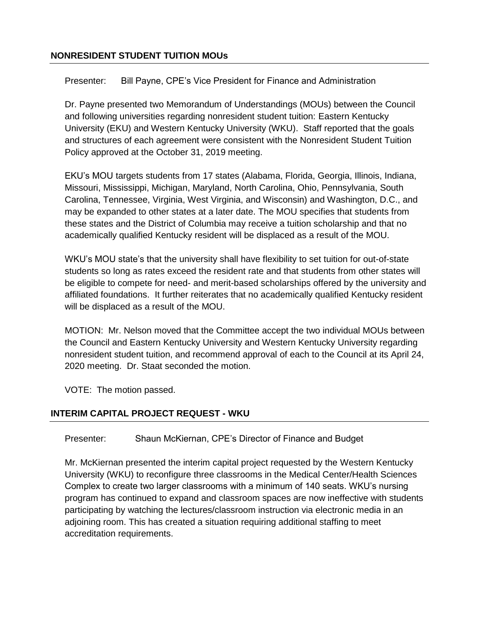## **NONRESIDENT STUDENT TUITION MOUs**

Presenter: Bill Payne, CPE's Vice President for Finance and Administration

Dr. Payne presented two Memorandum of Understandings (MOUs) between the Council and following universities regarding nonresident student tuition: Eastern Kentucky University (EKU) and Western Kentucky University (WKU). Staff reported that the goals and structures of each agreement were consistent with the Nonresident Student Tuition Policy approved at the October 31, 2019 meeting.

EKU's MOU targets students from 17 states (Alabama, Florida, Georgia, Illinois, Indiana, Missouri, Mississippi, Michigan, Maryland, North Carolina, Ohio, Pennsylvania, South Carolina, Tennessee, Virginia, West Virginia, and Wisconsin) and Washington, D.C., and may be expanded to other states at a later date. The MOU specifies that students from these states and the District of Columbia may receive a tuition scholarship and that no academically qualified Kentucky resident will be displaced as a result of the MOU.

WKU's MOU state's that the university shall have flexibility to set tuition for out-of-state students so long as rates exceed the resident rate and that students from other states will be eligible to compete for need- and merit-based scholarships offered by the university and affiliated foundations. It further reiterates that no academically qualified Kentucky resident will be displaced as a result of the MOU.

MOTION: Mr. Nelson moved that the Committee accept the two individual MOUs between the Council and Eastern Kentucky University and Western Kentucky University regarding nonresident student tuition, and recommend approval of each to the Council at its April 24, 2020 meeting. Dr. Staat seconded the motion.

VOTE: The motion passed.

# **INTERIM CAPITAL PROJECT REQUEST - WKU**

Presenter: Shaun McKiernan, CPE's Director of Finance and Budget

Mr. McKiernan presented the interim capital project requested by the Western Kentucky University (WKU) to reconfigure three classrooms in the Medical Center/Health Sciences Complex to create two larger classrooms with a minimum of 140 seats. WKU's nursing program has continued to expand and classroom spaces are now ineffective with students participating by watching the lectures/classroom instruction via electronic media in an adjoining room. This has created a situation requiring additional staffing to meet accreditation requirements.